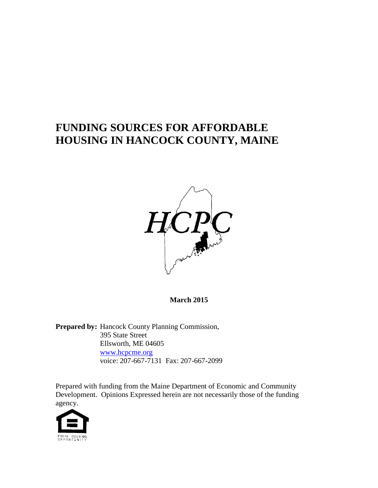# **FUNDING SOURCES FOR AFFORDABLE HOUSING IN HANCOCK COUNTY, MAINE**



#### **March 2015**

Prepared by: Hancock County Planning Commission, 395 State Street Ellsworth, ME 04605 [www.hcpcme.org](http://www.hcpcme.org/) voice: 207-667-7131 Fax: 207-667-2099

Prepared with funding from the Maine Department of Economic and Community Development. Opinions Expressed herein are not necessarily those of the funding agency.

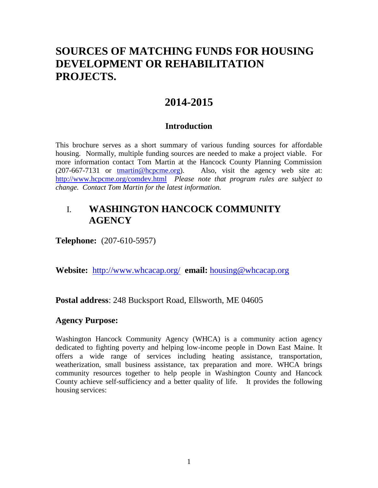# **SOURCES OF MATCHING FUNDS FOR HOUSING DEVELOPMENT OR REHABILITATION PROJECTS.**

# **2014-2015**

# **Introduction**

This brochure serves as a short summary of various funding sources for affordable housing. Normally, multiple funding sources are needed to make a project viable. For more information contact Tom Martin at the Hancock County Planning Commission (207-667-7131 or [tmartin@hcpcme.org\)](mailto:tmartin@hcpcme.org). Also, visit the agency web site at: <http://www.hcpcme.org/comdev.html> *Please note that program rules are subject to change. Contact Tom Martin for the latest information.*

# I. **WASHINGTON HANCOCK COMMUNITY AGENCY**

**Telephone:** (207-610-5957)

**Website:** <http://www.whcacap.org/> **email:** [housing@whcacap.org](mailto:housing@whcacap.org)

**Postal address**: 248 Bucksport Road, Ellsworth, ME 04605

# **Agency Purpose:**

Washington Hancock Community Agency (WHCA) is a community action agency dedicated to fighting poverty and helping low-income people in Down East Maine. It offers a wide range of services including heating assistance, transportation, weatherization, small business assistance, tax preparation and more. WHCA brings community resources together to help people in Washington County and Hancock County achieve self-sufficiency and a better quality of life. It provides the following housing services: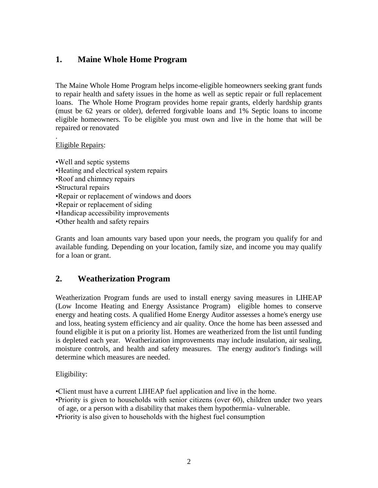## **1. Maine Whole Home Program**

The Maine Whole Home Program helps income-eligible homeowners seeking grant funds to repair health and safety issues in the home as well as septic repair or full replacement loans. The Whole Home Program provides home repair grants, elderly hardship grants (must be 62 years or older), deferred forgivable loans and 1% Septic loans to income eligible homeowners. To be eligible you must own and live in the home that will be repaired or renovated

#### . Eligible Repairs:

•Well and septic systems •Heating and electrical system repairs •Roof and chimney repairs •Structural repairs •Repair or replacement of windows and doors •Repair or replacement of siding •Handicap accessibility improvements •Other health and safety repairs

Grants and loan amounts vary based upon your needs, the program you qualify for and available funding. Depending on your location, family size, and income you may qualify for a loan or grant.

# **2. Weatherization Program**

Weatherization Program funds are used to install energy saving measures in LIHEAP (Low Income Heating and Energy Assistance Program) eligible homes to conserve energy and heating costs. A qualified Home Energy Auditor assesses a home's energy use and loss, heating system efficiency and air quality. Once the home has been assessed and found eligible it is put on a priority list. Homes are weatherized from the list until funding is depleted each year. Weatherization improvements may include insulation, air sealing, moisture controls, and health and safety measures. The energy auditor's findings will determine which measures are needed.

#### Eligibility:

•Client must have a current LIHEAP fuel application and live in the home.

•Priority is given to households with senior citizens (over 60), children under two years of age, or a person with a disability that makes them hypothermia- vulnerable.

•Priority is also given to households with the highest fuel consumption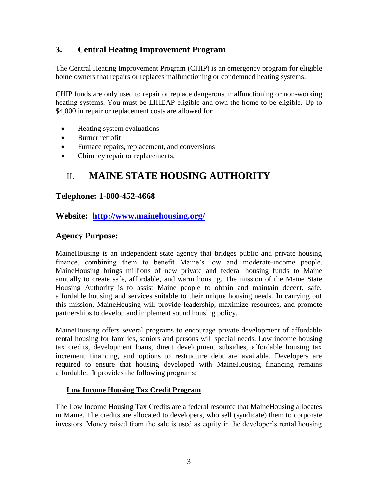# **3. Central Heating Improvement Program**

The Central Heating Improvement Program (CHIP) is an emergency program for eligible home owners that repairs or replaces malfunctioning or condemned heating systems.

CHIP funds are only used to repair or replace dangerous, malfunctioning or non-working heating systems. You must be LIHEAP eligible and own the home to be eligible. Up to \$4,000 in repair or replacement costs are allowed for:

- Heating system evaluations
- Burner retrofit
- Furnace repairs, replacement, and conversions
- Chimney repair or replacements.

# II. **MAINE STATE HOUSING AUTHORITY**

## **Telephone: 1-800-452-4668**

## **Website: <http://www.mainehousing.org/>**

## **Agency Purpose:**

MaineHousing is an independent state agency that bridges public and private housing finance, combining them to benefit Maine's low and moderate-income people. MaineHousing brings millions of new private and federal housing funds to Maine annually to create safe, affordable, and warm housing. The mission of the Maine State Housing Authority is to assist Maine people to obtain and maintain decent, safe, affordable housing and services suitable to their unique housing needs. In carrying out this mission, MaineHousing will provide leadership, maximize resources, and promote partnerships to develop and implement sound housing policy.

MaineHousing offers several programs to encourage private development of affordable rental housing for families, seniors and persons will special needs. Low income housing tax credits, development loans, direct development subsidies, affordable housing tax increment financing, and options to restructure debt are available. Developers are required to ensure that housing developed with MaineHousing financing remains affordable. It provides the following programs:

#### **Low Income Housing Tax Credit Program**

The Low Income Housing Tax Credits are a federal resource that MaineHousing allocates in Maine. The credits are allocated to developers, who sell (syndicate) them to corporate investors. Money raised from the sale is used as equity in the developer's rental housing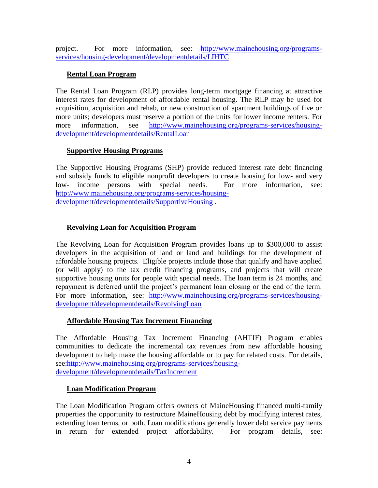project. For more information, see: [http://www.mainehousing.org/programs](http://www.mainehousing.org/programs-services/housing-development/developmentdetails/LIHTC)[services/housing-development/developmentdetails/LIHTC](http://www.mainehousing.org/programs-services/housing-development/developmentdetails/LIHTC)

#### **Rental Loan Program**

The Rental Loan Program (RLP) provides long-term mortgage financing at attractive interest rates for development of affordable rental housing. The RLP may be used for acquisition, acquisition and rehab, or new construction of apartment buildings of five or more units; developers must reserve a portion of the units for lower income renters. For more information, see [http://www.mainehousing.org/programs-services/housing](http://www.mainehousing.org/programs-services/housing-development/developmentdetails/RentalLoan)[development/developmentdetails/RentalLoan](http://www.mainehousing.org/programs-services/housing-development/developmentdetails/RentalLoan)

#### **Supportive Housing Programs**

The Supportive Housing Programs (SHP) provide reduced interest rate debt financing and subsidy funds to eligible nonprofit developers to create housing for low- and very low- income persons with special needs. For more information, see: [http://www.mainehousing.org/programs-services/housing](http://www.mainehousing.org/programs-services/housing-development/developmentdetails/SupportiveHousing)[development/developmentdetails/SupportiveHousing](http://www.mainehousing.org/programs-services/housing-development/developmentdetails/SupportiveHousing) .

#### **Revolving Loan for Acquisition Program**

The Revolving Loan for Acquisition Program provides loans up to \$300,000 to assist developers in the acquisition of land or land and buildings for the development of affordable housing projects. Eligible projects include those that qualify and have applied (or will apply) to the tax credit financing programs, and projects that will create supportive housing units for people with special needs. The loan term is 24 months, and repayment is deferred until the project's permanent loan closing or the end of the term. For more information, see: [http://www.mainehousing.org/programs-services/housing](http://www.mainehousing.org/programs-services/housing-development/developmentdetails/RevolvingLoan)[development/developmentdetails/RevolvingLoan](http://www.mainehousing.org/programs-services/housing-development/developmentdetails/RevolvingLoan) 

#### **Affordable Housing Tax Increment Financing**

The Affordable Housing Tax Increment Financing (AHTIF) Program enables communities to dedicate the incremental tax revenues from new affordable housing development to help make the housing affordable or to pay for related costs. For details, see[:http://www.mainehousing.org/programs-services/housing](http://www.mainehousing.org/programs-services/housing-development/developmentdetails/TaxIncrement)[development/developmentdetails/TaxIncrement](http://www.mainehousing.org/programs-services/housing-development/developmentdetails/TaxIncrement)

#### **Loan Modification Program**

The Loan Modification Program offers owners of MaineHousing financed multi-family properties the opportunity to restructure MaineHousing debt by modifying interest rates, extending loan terms, or both. Loan modifications generally lower debt service payments in return for extended project affordability. For program details, see: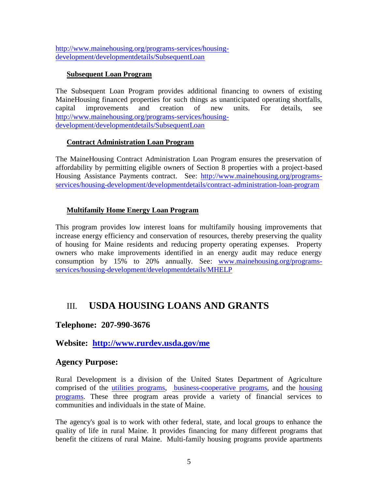[http://www.mainehousing.org/programs-services/housing](http://www.mainehousing.org/programs-services/housing-development/developmentdetails/SubsequentLoan)[development/developmentdetails/SubsequentLoan](http://www.mainehousing.org/programs-services/housing-development/developmentdetails/SubsequentLoan)

#### **Subsequent Loan Program**

The Subsequent Loan Program provides additional financing to owners of existing MaineHousing financed properties for such things as unanticipated operating shortfalls, capital improvements and creation of new units. For details, see [http://www.mainehousing.org/programs-services/housing](http://www.mainehousing.org/programs-services/housing-development/developmentdetails/SubsequentLoan)[development/developmentdetails/SubsequentLoan](http://www.mainehousing.org/programs-services/housing-development/developmentdetails/SubsequentLoan)

#### **Contract Administration Loan Program**

The MaineHousing Contract Administration Loan Program ensures the preservation of affordability by permitting eligible owners of Section 8 properties with a project-based Housing Assistance Payments contract. See: [http://www.mainehousing.org/programs](http://www.mainehousing.org/programs-services/housing-development/developmentdetails/contract-administration-loan-program)[services/housing-development/developmentdetails/contract-administration-loan-program](http://www.mainehousing.org/programs-services/housing-development/developmentdetails/contract-administration-loan-program)

#### **Multifamily Home Energy Loan Program**

This program provides low interest loans for multifamily housing improvements that increase energy efficiency and conservation of resources, thereby preserving the quality of housing for Maine residents and reducing property operating expenses. Property owners who make improvements identified in an energy audit may reduce energy consumption by 15% to 20% annually. See: [www.mainehousing.org/programs](http://www.mainehousing.org/programs-services/housing-development/developmentdetails/MHELP)[services/housing-development/developmentdetails/MHELP](http://www.mainehousing.org/programs-services/housing-development/developmentdetails/MHELP) 

# III. **USDA HOUSING LOANS AND GRANTS**

# **Telephone: 207-990-3676**

# **Website: <http://www.rurdev.usda.gov/me>**

#### **Agency Purpose:**

Rural Development is a division of the United States Department of Agriculture comprised of the [utilities programs,](http://www.rurdev.usda.gov/me/whatwedo.htm) [business-cooperative programs,](http://www.rurdev.usda.gov/me/whatwedo.htm) and the [housing](http://www.rurdev.usda.gov/me/whatwedo.htm)  [programs.](http://www.rurdev.usda.gov/me/whatwedo.htm) These three program areas provide a variety of financial services to communities and individuals in the state of Maine.

The agency's goal is to work with other federal, state, and local groups to enhance the quality of life in rural Maine. It provides financing for many different programs that benefit the citizens of rural Maine. Multi-family housing programs provide apartments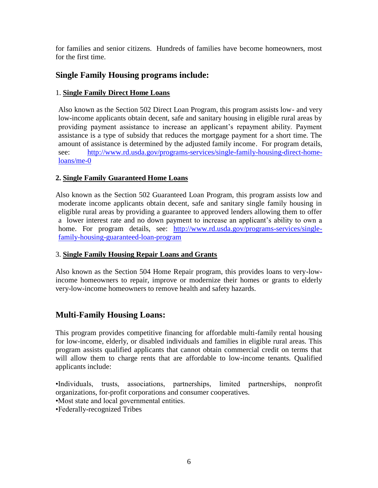for families and senior citizens. Hundreds of families have become homeowners, most for the first time.

## **Single Family Housing programs include:**

#### 1. **Single Family Direct Home Loans**

Also known as the Section 502 Direct Loan Program, this program assists low- and very low-income applicants obtain decent, safe and sanitary housing in eligible rural areas by providing payment assistance to increase an applicant's repayment ability. Payment assistance is a type of subsidy that reduces the mortgage payment for a short time. The amount of assistance is determined by the adjusted family income. For program details, see: [http://www.rd.usda.gov/programs-services/single-family-housing-direct-home](http://www.rd.usda.gov/programs-services/single-family-housing-direct-home-loans/me-0)[loans/me-0](http://www.rd.usda.gov/programs-services/single-family-housing-direct-home-loans/me-0)

#### **2. Single Family Guaranteed Home Loans**

Also known as the Section 502 Guaranteed Loan Program, this program assists low and moderate income applicants obtain decent, safe and sanitary single family housing in eligible rural areas by providing a guarantee to approved lenders allowing them to offer a lower interest rate and no down payment to increase an applicant's ability to own a home. For program details, see: [http://www.rd.usda.gov/programs-services/single](http://www.rd.usda.gov/programs-services/single-family-housing-guaranteed-loan-program)[family-housing-guaranteed-loan-program](http://www.rd.usda.gov/programs-services/single-family-housing-guaranteed-loan-program)

#### 3. **Single Family Housing Repair Loans and Grants**

Also known as the Section 504 Home Repair program, this provides loans to very-lowincome homeowners to repair, improve or modernize their homes or grants to elderly very-low-income homeowners to remove health and safety hazards.

# **Multi-Family Housing Loans:**

This program provides competitive financing for affordable multi-family rental housing for low-income, elderly, or disabled individuals and families in eligible rural areas. This program assists qualified applicants that cannot obtain commercial credit on terms that will allow them to charge rents that are affordable to low-income tenants. Qualified applicants include:

•Individuals, trusts, associations, partnerships, limited partnerships, nonprofit organizations, for-profit corporations and consumer cooperatives.

•Most state and local governmental entities.

•Federally-recognized Tribes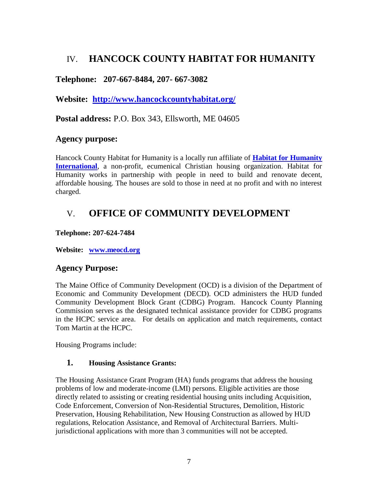# IV. **HANCOCK COUNTY HABITAT FOR HUMANITY**

# **Telephone: 207-667-8484, 207- 667-3082**

**Website: <http://www.hancockcountyhabitat.org/>**

**Postal address:** P.O. Box 343, Ellsworth, ME 04605

#### **Agency purpose:**

Hancock County Habitat for Humanity is a locally run affiliate of **[Habitat for Humanity](http://www.habitat.org/)  [International](http://www.habitat.org/)**, a non-profit, ecumenical Christian housing organization. Habitat for Humanity works in partnership with people in need to build and renovate decent, affordable housing. The houses are sold to those in need at no profit and with no interest charged.

# V. **OFFICE OF COMMUNITY DEVELOPMENT**

#### **Telephone: 207-624-7484**

**Website: [www.meocd.org](http://www.meocd.org/)**

# **Agency Purpose:**

The Maine Office of Community Development (OCD) is a division of the Department of Economic and Community Development (DECD). OCD administers the HUD funded Community Development Block Grant (CDBG) Program. Hancock County Planning Commission serves as the designated technical assistance provider for CDBG programs in the HCPC service area. For details on application and match requirements, contact Tom Martin at the HCPC.

Housing Programs include:

#### **1. Housing Assistance Grants:**

The Housing Assistance Grant Program (HA) funds programs that address the housing problems of low and moderate-income (LMI) persons. Eligible activities are those directly related to assisting or creating residential housing units including Acquisition, Code Enforcement, Conversion of Non-Residential Structures, Demolition, Historic Preservation, Housing Rehabilitation, New Housing Construction as allowed by HUD regulations, Relocation Assistance, and Removal of Architectural Barriers. Multijurisdictional applications with more than 3 communities will not be accepted.